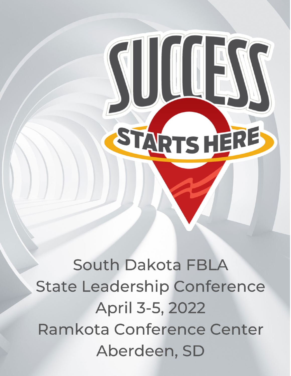South Dakota FBLA **State Leadership Conference** April 3-5, 2022 Ramkota Conference Center Aberdeen, SD

STARTSHERE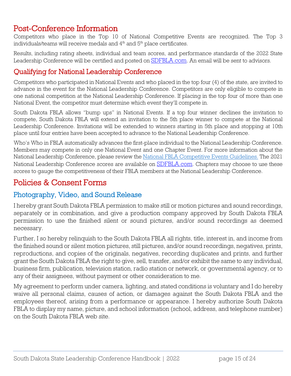Post-Conference Information<br>Competitors who place in the Top 10 of National Competitive Events are recognized. The Top 3 individuals/teams will receive medals and 4<sup>th</sup> and 5<sup>th</sup> place certificates.

Results, including rating sheets, individual and team scores, and performance standards of the 2022 State Leadership Conference will be certified and posted on **[SDFBLA.com.](https://www.sdfbla.com/serviceslist)** An email will be sent to advisors.

## Qualifying for National Leadership Conference

Competitors who participated in National Events and who placed in the top four (4) of the state, are invited to advance in the event for the National Leadership Conference. Competitors are only eligible to compete in one national competition at the National Leadership Conference. If placing in the top four of more than one National Event, the competitor must determine which event they'll compete in.

South Dakota FBLA allows "bump ups" in National Events. If a top four winner declines the invitation to compete, South Dakota FBLA will extend an invitation to the 5th place winner to compete at the National Leadership Conference. Invitations will be extended to winners starting in 5th place and stopping at 10th place until four entries have been accepted to advance to the National Leadership Conference.

Who's Who in FBLA automatically advances the first-place individual to the National Leadership Conference. Members may compete in only one National Event and one Chapter Event. For more information about the National Leadership Conference, please review the [National FBLA Competitive Events Guidelines.](https://www.fbla-pbl.org/divisions/fbla/fbla-competitive-events/) The 2021 National Leadership Conference scores are available on **SDFBLA.com**. Chapters may choose to use these scores to gauge the competitiveness of their FBLA members at the National Leadership Conference.

# Policies & Consent Forms

## Photography, Video, and Sound Release

I hereby grant South Dakota FBLA permission to make still or motion pictures and sound recordings, separately or in combination, and give a production company approved by South Dakota FBLA permission to use the finished silent or sound pictures, and/or sound recordings as deemed necessary.

Further, I so hereby relinquish to the South Dakota FBLA all rights, title, interest in, and income from the finished sound or silent motion pictures, still pictures, and/or sound recordings, negatives, prints, reproductions, and copies of the originals, negatives, recording duplicates and prints, and further grant the South Dakota FBLA the right to give, sell, transfer, and/or exhibit the same to any individual, business firm, publication, television station, radio station or network, or governmental agency, or to any of their assignees, without payment or other consideration to me.

My agreement to perform under camera, lighting, and stated conditions is voluntary and I do hereby waive all personal claims, causes of action, or damages against the South Dakota FBLA and the employees thereof, arising from a performance or appearance. I hereby authorize South Dakota FBLA to display my name, picture, and school information (school, address, and telephone number) on the South Dakota FBLA web site.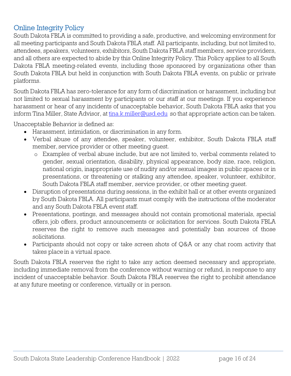# Online Integrity Policy

South Dakota FBLA is committed to providing a safe, productive, and welcoming environment for all meeting participants and South Dakota FBLA staff. All participants, including, but not limited to, attendees, speakers, volunteers, exhibitors, South Dakota FBLA staff members, service providers, and all others are expected to abide by this Online Integrity Policy. This Policy applies to all South Dakota FBLA meeting-related events, including those sponsored by organizations other than South Dakota FBLA but held in conjunction with South Dakota FBLA events, on public or private platforms.

South Dakota FBLA has zero-tolerance for any form of discrimination or harassment, including but not limited to sexual harassment by participants or our staff at our meetings. If you experience harassment or hear of any incidents of unacceptable behavior, South Dakota FBLA asks that you inform Tina Miller, State Advisor, at [tina.k.miller@usd.edu](mailto:tina.k.miller@usd.edu) so that appropriate action can be taken.

Unacceptable Behavior is defined as:

- Harassment, intimidation, or discrimination in any form.
- Verbal abuse of any attendee, speaker, volunteer, exhibitor, South Dakota FBLA staff member, service provider or other meeting guest.
	- o Examples of verbal abuse include, but are not limited to, verbal comments related to gender, sexual orientation, disability, physical appearance, body size, race, religion, national origin, inappropriate use of nudity and/or sexual images in public spaces or in presentations, or threatening or stalking any attendee, speaker, volunteer, exhibitor, South Dakota FBLA staff member, service provider, or other meeting guest.
- Disruption of presentations during sessions, in the exhibit hall or at other events organized by South Dakota FBLA. All participants must comply with the instructions of the moderator and any South Dakota FBLA event staff.
- Presentations, postings, and messages should not contain promotional materials, special offers, job offers, product announcements or solicitation for services. South Dakota FBLA reserves the right to remove such messages and potentially ban sources of those solicitations.
- Participants should not copy or take screen shots of Q&A or any chat room activity that takes placein a virtual space.

South Dakota FBLA reserves the right to take any action deemed necessary and appropriate, including immediate removal from the conference without warning or refund, in response to any incident of unacceptable behavior. South Dakota FBLA reserves the right to prohibit attendance at any future meeting or conference, virtually or in person.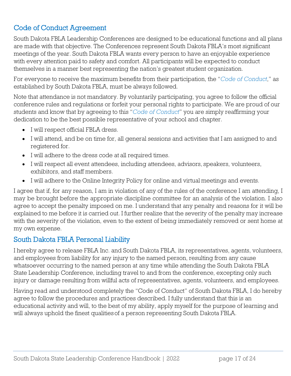# Code of Conduct Agreement

South Dakota FBLA Leadership Conferences are designed to be educational functions and all plans are made with that objective. The Conferences represent South Dakota FBLA's most significant meetings of the year. South Dakota FBLA wants every person to have an enjoyable experience with every attention paid to safety and comfort. All participants will be expected to conduct themselves in a manner best representing the nation's greatest student organization.

For everyone to receive the maximum benefits from their participation, the "*Code of Conduct*," as established by South Dakota FBLA, must be always followed.

Note that attendance is not mandatory. By voluntarily participating, you agree to follow the official conference rules and regulations or forfeit your personal rights to participate. We are proud of our students and know that by agreeing to this "*Code of Conduct*" you are simply reaffirming your dedication to be the best possible representative of your school and chapter.

- I will respect official FBLA dress.
- I will attend, and be on time for, all general sessions and activities that I am assigned to and registered for.
- I will adhere to the dress code at all required times.
- I will respect all event attendees, including attendees, advisors, speakers, volunteers, exhibitors, and staff members.
- I will adhere to the Online Integrity Policy for online and virtual meetings and events.

I agree that if, for any reason, I am in violation of any of the rules of the conference I am attending, I may be brought before the appropriate discipline committee for an analysis of the violation. I also agree to accept the penalty imposed on me. I understand that any penalty and reasons for it will be explained to me before it is carried out. I further realize that the severity of the penalty may increase with the severity of the violation, even to the extent of being immediately removed or sent home at my own expense.

## South Dakota FBLA Personal Liability

I hereby agree to release FBLA Inc. and South Dakota FBLA, its representatives, agents, volunteers, and employees from liability for any injury to the named person, resulting from any cause whatsoever occurring to the named person at any time while attending the South Dakota FBLA State Leadership Conference, including travel to and from the conference, excepting only such injury or damage resulting from willful acts of representatives, agents, volunteers, and employees.

Having read and understood completely the "Code of Conduct" of South Dakota FBLA, I do hereby agree to follow the procedures and practices described. I fully understand that this is an educational activity and will, to the best of my ability, apply myself for the purpose of learning and will always uphold the finest qualitiesof a person representing South Dakota FBLA.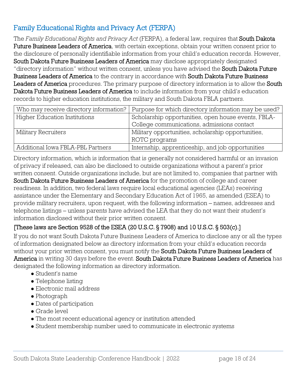# Family Educational Rights and Privacy Act (FERPA)

The *Family Educational Rights and Privacy Act* (FERPA), a federal law, requires that South Dakota Future Business Leaders of America, with certain exceptions, obtain your written consent prior to the disclosure of personally identifiable information from your child's education records. However, South Dakota Future Business Leaders of America may disclose appropriately designated "directory information" without written consent, unless you have advised the South Dakota Future Business Leaders of America to the contrary in accordance with South Dakota Future Business Leaders of America procedures. The primary purpose of directory information is to allow the South Dakota Future Business Leaders of America to include information from your child's education records to higher education institutions, the military and South Dakota FBLA partners.

| Who may receive directory information? | Purpose for which directory information may be used? |  |  |
|----------------------------------------|------------------------------------------------------|--|--|
| Higher Education Institutions          | Scholarship opportunities, open house events, FBLA-  |  |  |
|                                        | College communications, admissions contact           |  |  |
| Military Recruiters                    | Military opportunities, scholarship opportunities,   |  |  |
|                                        | ROTC programs                                        |  |  |
| Additional Iowa FBLA-PBL Partners      | Internship, apprenticeship, and job opportunities    |  |  |

Directory information, which is information that is generally not considered harmful or an invasion of privacy if released, can also be disclosed to outside organizations without a parent's prior written consent. Outside organizations include, but are not limited to, companies that partner with South Dakota Future Business Leaders of America for the promotion of college and career readiness. In addition, two federal laws require local educational agencies (LEAs) receiving assistance under the Elementary and Secondary Education Act of 1965, as amended (ESEA) to provide military recruiters, upon request, with the following information – names, addresses and telephone listings – unless parents have advised the LEA that they do not want their student's information disclosed without their prior written consent.

## [These laws are Section 9528 of the ESEA (20 U.S.C. § 7908) and 10 U.S.C. § 503(c).]

If you do not want South Dakota Future Business Leaders of America to disclose any or all the types of information designated below as directory information from your child's education records without your prior written consent, you must notify the **South Dakota Future Business Leaders of** America in writing 30 days before the event. South Dakota Future Business Leaders of America has designated the following information as directory information.

- Student's name
- Telephone listing
- Electronic mail address
- Photograph
- Dates of participation
- Grade level
- The most recent educational agency or institution attended
- Student membership number used to communicate in electronic systems